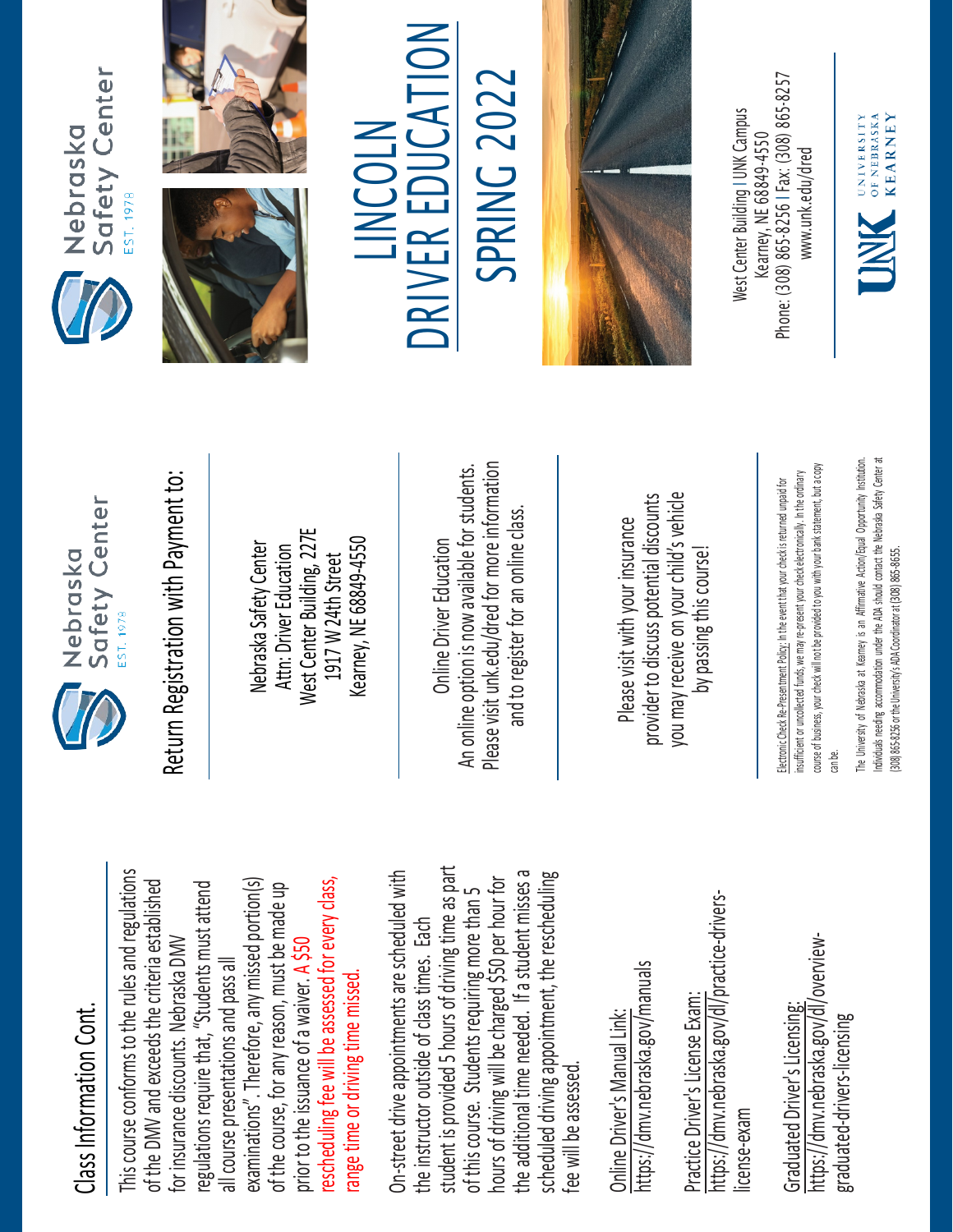## Class Information Cont. Class Information Cont

This course conforms to the rules and regulations This course conforms to the rules and regulations rescheduling fee will be assessed for every class, examinations". Therefore, any missed portion(s) of the DMV and exceeds the criteria established regulations require that, "Students must attend of the DMV and exceeds the criteria established of the course, for any reason, must be made up rescheduling fee will be assessed for every class, regulations require that, "Students must attend examinations". Therefore, any missed portion(s) of the course, for any reason, must be made up for insurance discounts. Nebraska DMV for insurance discounts. Nebraska DMV prior to the issuance of a waiver. A \$50 all course presentations and pass all all course presentations and pass all range time or driving time missed. prior to the issuance of a waiver. range time or driving time missed

student is provided 5 hours of driving time as part On-street drive appointments are scheduled with student is provided 5 hours of driving time as part the additional time needed. If a student misses a scheduled driving appointment, the rescheduling the additional time needed. If a student misses a On-street drive appointments are scheduled with hours of driving will be charged \$50 per hour for scheduled driving appointment, the rescheduling hours of driving will be charged \$50 per hour for of this course. Students requiring more than 5 of this course. Students requiring more than 5 the instructor outside of class times. Each the instructor outside of class times. Each fee will be assessed. fee will be assessed

https://dmv.nebraska.gov/manuals https://dmv.nebraska.gov/manuals Online Driver's Manual Link: Online Driver's Manual Link:

https://dmv.nebraska.gov/dl/practice-drivershttps://dmv.nebraska.gov/dl/practice-drivers-Practice Driver's License Exam: Practice Driver's License Exam license-exam license-exam

https://dmv.nebraska.gov/dl/overviewhttps://dmv.nebraska.gov/dl/overview· Graduated Driver's Licensing: Graduated Driver's Licensing graduated-drivers-licensing graduated-drivers-licensing



Return Registration with Payment to: Return Registration with Payment to:

West Center Building, 227E West Center Building, 227E Kearney, NE 68849-4550 Kearney, NE 68849-4550 Nebraska Safety Center Attn: Driver Education Nebraska Safety Center Attn: Driver Education 1917 W 24th Street 1917 W 24th Street

Please visit unk.edu/dred for more information An online option is now available for students. An online option is now available for students. Please visit unk.edu/dred for more information and to register for an online class. and to register for an online class Online Driver Education Online Driver Education

you may receive on your child's vehicle provider to discuss potential discounts you may receive on your child's vehicle provider to discuss potential discounts Please visit with your insurance Please visit with your insurance by passing this course! by passing this course!

course of business, your check will not be provided to you with your bank statement, but a copy course of business, your check will not be provided to you with your bank statement, but a copy insufficient or uncollected funds, we may re-present your check electronically. In the ordinary insufficient or uncollected funds, we may re-present your check electronically. In the ordinary Electronic Check Re-Presentment Policy: In the event that your check is returned unpaid for Electronic Check Re-Presentment Policy: In the event that your check is returned unpaid for can be. stitution. Individuals needing accommodation under the ADA should contact the Nebraska Safety Center at Individuals needing accommodation under the ADA should contact the Nebraska Safety Center at The University of Nebraska at Kearney is an Affirmative Action/Equal Opportunity In (308) 865-8256 or the University's ADA Coordinator at (308) 865-8655. [308] 865-8256 or the University's ADA Coordinator at (308) 865-8655







## TO L **SPRING 2022** SPRING 2024 R EDUCA LINCOLN LINCOLN E **KIVE NC**



Kearney. NE 68849-4550 www.unk.edu/dred [www.unk.edu/dred](http://www.unk.edu/dred) Kearney, NE 68849 Phone: (308) 865

-8256 I Fax: (308) 865 Phone: (308) 865-8256 | Fax: (308) 865-8257

OF NEBRASKA **KEARNEY** UNIVERSITY

INK

West Center Building I UNK Campus

West Center Building | UNK Campus